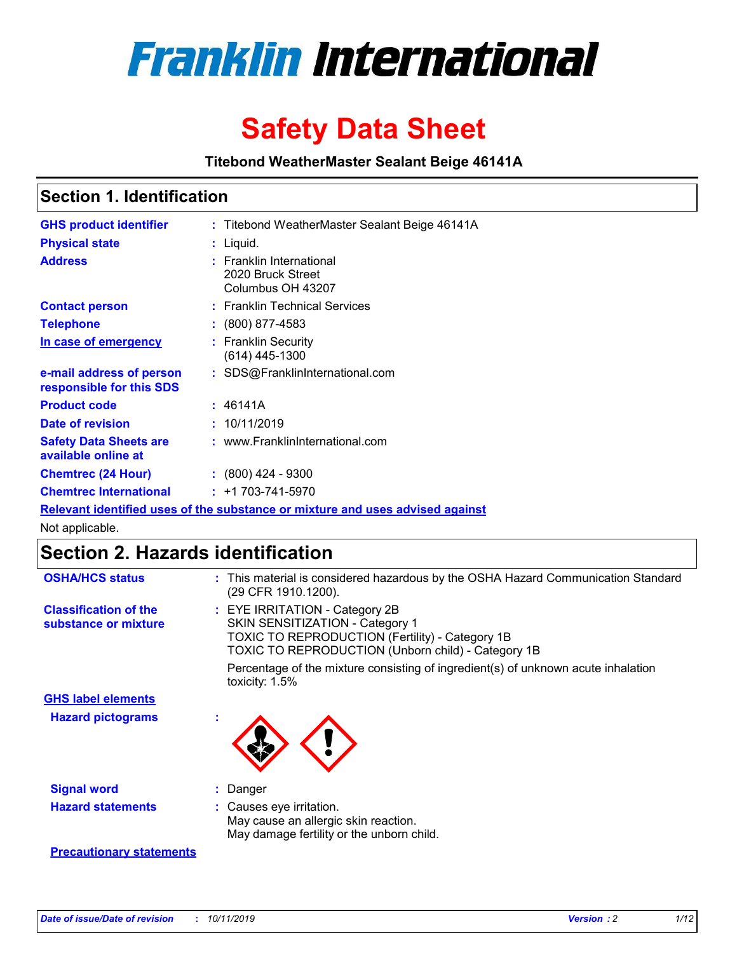

# **Safety Data Sheet**

**Titebond WeatherMaster Sealant Beige 46141A**

### **Section 1. Identification**

| <b>GHS product identifier</b>                                                 |  | : Titebond WeatherMaster Sealant Beige 46141A                      |  |  |  |
|-------------------------------------------------------------------------------|--|--------------------------------------------------------------------|--|--|--|
| <b>Physical state</b>                                                         |  | : Liquid.                                                          |  |  |  |
| <b>Address</b>                                                                |  | : Franklin International<br>2020 Bruck Street<br>Columbus OH 43207 |  |  |  |
| <b>Contact person</b>                                                         |  | : Franklin Technical Services                                      |  |  |  |
| <b>Telephone</b>                                                              |  | $\colon$ (800) 877-4583                                            |  |  |  |
| In case of emergency                                                          |  | : Franklin Security<br>(614) 445-1300                              |  |  |  |
| e-mail address of person<br>responsible for this SDS                          |  | : SDS@FranklinInternational.com                                    |  |  |  |
| <b>Product code</b>                                                           |  | : 46141A                                                           |  |  |  |
| Date of revision                                                              |  | : 10/11/2019                                                       |  |  |  |
| <b>Safety Data Sheets are</b><br>available online at                          |  | : www.FranklinInternational.com                                    |  |  |  |
| <b>Chemtrec (24 Hour)</b>                                                     |  | : (800) 424 - 9300                                                 |  |  |  |
| <b>Chemtrec International</b>                                                 |  | $: +1703 - 741 - 5970$                                             |  |  |  |
| Relevant identified uses of the substance or mixture and uses advised against |  |                                                                    |  |  |  |

Not applicable.

## **Section 2. Hazards identification**

| <b>OSHA/HCS status</b>                               | : This material is considered hazardous by the OSHA Hazard Communication Standard<br>(29 CFR 1910.1200).                                                                          |
|------------------------------------------------------|-----------------------------------------------------------------------------------------------------------------------------------------------------------------------------------|
| <b>Classification of the</b><br>substance or mixture | : EYE IRRITATION - Category 2B<br>SKIN SENSITIZATION - Category 1<br><b>TOXIC TO REPRODUCTION (Fertility) - Category 1B</b><br>TOXIC TO REPRODUCTION (Unborn child) - Category 1B |
|                                                      | Percentage of the mixture consisting of ingredient(s) of unknown acute inhalation<br>toxicity: $1.5\%$                                                                            |
| <b>GHS label elements</b>                            |                                                                                                                                                                                   |
| <b>Hazard pictograms</b>                             |                                                                                                                                                                                   |
| <b>Signal word</b>                                   | : Danger                                                                                                                                                                          |
| <b>Hazard statements</b>                             | : Causes eye irritation.<br>May cause an allergic skin reaction.<br>May damage fertility or the unborn child.                                                                     |
| <b>Precautionary statements</b>                      |                                                                                                                                                                                   |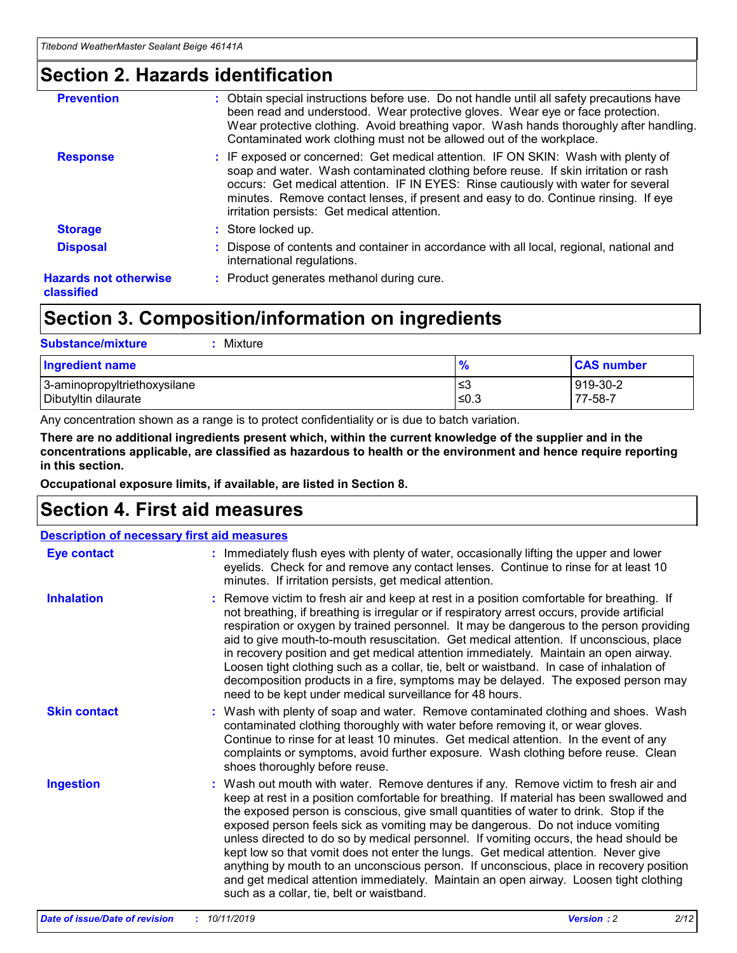### **Section 2. Hazards identification**

| <b>Prevention</b>                          | : Obtain special instructions before use. Do not handle until all safety precautions have<br>been read and understood. Wear protective gloves. Wear eye or face protection.<br>Wear protective clothing. Avoid breathing vapor. Wash hands thoroughly after handling.<br>Contaminated work clothing must not be allowed out of the workplace.                                                        |
|--------------------------------------------|------------------------------------------------------------------------------------------------------------------------------------------------------------------------------------------------------------------------------------------------------------------------------------------------------------------------------------------------------------------------------------------------------|
| <b>Response</b>                            | : IF exposed or concerned: Get medical attention. IF ON SKIN: Wash with plenty of<br>soap and water. Wash contaminated clothing before reuse. If skin irritation or rash<br>occurs: Get medical attention. IF IN EYES: Rinse cautiously with water for several<br>minutes. Remove contact lenses, if present and easy to do. Continue rinsing. If eye<br>irritation persists: Get medical attention. |
| <b>Storage</b>                             | : Store locked up.                                                                                                                                                                                                                                                                                                                                                                                   |
| <b>Disposal</b>                            | : Dispose of contents and container in accordance with all local, regional, national and<br>international regulations.                                                                                                                                                                                                                                                                               |
| <b>Hazards not otherwise</b><br>classified | : Product generates methanol during cure.                                                                                                                                                                                                                                                                                                                                                            |
|                                            |                                                                                                                                                                                                                                                                                                                                                                                                      |

### **Section 3. Composition/information on ingredients**

| <b>Substance/mixture</b><br>Mixture                  |               |                     |
|------------------------------------------------------|---------------|---------------------|
| <b>Ingredient name</b>                               | $\frac{9}{6}$ | <b>CAS number</b>   |
| 3-aminopropyltriethoxysilane<br>Dibutyltin dilaurate | ≤3<br>$≤0.3$  | 919-30-2<br>77-58-7 |

Any concentration shown as a range is to protect confidentiality or is due to batch variation.

**There are no additional ingredients present which, within the current knowledge of the supplier and in the concentrations applicable, are classified as hazardous to health or the environment and hence require reporting in this section.**

**Occupational exposure limits, if available, are listed in Section 8.**

### **Section 4. First aid measures**

| <b>Description of necessary first aid measures</b> |                                                                                                                                                                                                                                                                                                                                                                                                                                                                                                                                                                                                                                                                                                                                                                           |  |  |  |
|----------------------------------------------------|---------------------------------------------------------------------------------------------------------------------------------------------------------------------------------------------------------------------------------------------------------------------------------------------------------------------------------------------------------------------------------------------------------------------------------------------------------------------------------------------------------------------------------------------------------------------------------------------------------------------------------------------------------------------------------------------------------------------------------------------------------------------------|--|--|--|
| <b>Eye contact</b>                                 | : Immediately flush eyes with plenty of water, occasionally lifting the upper and lower<br>eyelids. Check for and remove any contact lenses. Continue to rinse for at least 10<br>minutes. If irritation persists, get medical attention.                                                                                                                                                                                                                                                                                                                                                                                                                                                                                                                                 |  |  |  |
| <b>Inhalation</b>                                  | : Remove victim to fresh air and keep at rest in a position comfortable for breathing. If<br>not breathing, if breathing is irregular or if respiratory arrest occurs, provide artificial<br>respiration or oxygen by trained personnel. It may be dangerous to the person providing<br>aid to give mouth-to-mouth resuscitation. Get medical attention. If unconscious, place<br>in recovery position and get medical attention immediately. Maintain an open airway.<br>Loosen tight clothing such as a collar, tie, belt or waistband. In case of inhalation of<br>decomposition products in a fire, symptoms may be delayed. The exposed person may<br>need to be kept under medical surveillance for 48 hours.                                                       |  |  |  |
| <b>Skin contact</b>                                | : Wash with plenty of soap and water. Remove contaminated clothing and shoes. Wash<br>contaminated clothing thoroughly with water before removing it, or wear gloves.<br>Continue to rinse for at least 10 minutes. Get medical attention. In the event of any<br>complaints or symptoms, avoid further exposure. Wash clothing before reuse. Clean<br>shoes thoroughly before reuse.                                                                                                                                                                                                                                                                                                                                                                                     |  |  |  |
| <b>Ingestion</b>                                   | : Wash out mouth with water. Remove dentures if any. Remove victim to fresh air and<br>keep at rest in a position comfortable for breathing. If material has been swallowed and<br>the exposed person is conscious, give small quantities of water to drink. Stop if the<br>exposed person feels sick as vomiting may be dangerous. Do not induce vomiting<br>unless directed to do so by medical personnel. If vomiting occurs, the head should be<br>kept low so that vomit does not enter the lungs. Get medical attention. Never give<br>anything by mouth to an unconscious person. If unconscious, place in recovery position<br>and get medical attention immediately. Maintain an open airway. Loosen tight clothing<br>such as a collar, tie, belt or waistband. |  |  |  |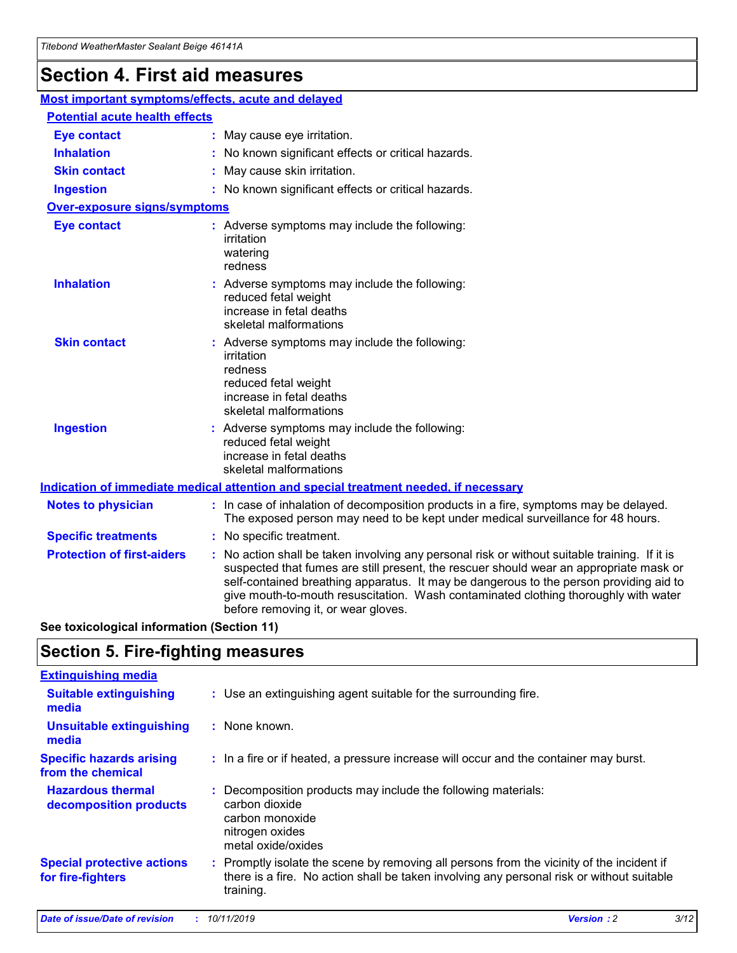## **Section 4. First aid measures**

| Most important symptoms/effects, acute and delayed |  |                                                                                                                                                                                                                                                                                                                                                                                                                 |  |  |
|----------------------------------------------------|--|-----------------------------------------------------------------------------------------------------------------------------------------------------------------------------------------------------------------------------------------------------------------------------------------------------------------------------------------------------------------------------------------------------------------|--|--|
| <b>Potential acute health effects</b>              |  |                                                                                                                                                                                                                                                                                                                                                                                                                 |  |  |
| <b>Eye contact</b>                                 |  | : May cause eye irritation.                                                                                                                                                                                                                                                                                                                                                                                     |  |  |
| <b>Inhalation</b>                                  |  | : No known significant effects or critical hazards.                                                                                                                                                                                                                                                                                                                                                             |  |  |
| <b>Skin contact</b>                                |  | : May cause skin irritation.                                                                                                                                                                                                                                                                                                                                                                                    |  |  |
| <b>Ingestion</b>                                   |  | : No known significant effects or critical hazards.                                                                                                                                                                                                                                                                                                                                                             |  |  |
| Over-exposure signs/symptoms                       |  |                                                                                                                                                                                                                                                                                                                                                                                                                 |  |  |
| <b>Eye contact</b>                                 |  | : Adverse symptoms may include the following:<br>irritation<br>watering<br>redness                                                                                                                                                                                                                                                                                                                              |  |  |
| <b>Inhalation</b>                                  |  | : Adverse symptoms may include the following:<br>reduced fetal weight<br>increase in fetal deaths<br>skeletal malformations                                                                                                                                                                                                                                                                                     |  |  |
| <b>Skin contact</b>                                |  | : Adverse symptoms may include the following:<br>irritation<br>redness<br>reduced fetal weight<br>increase in fetal deaths<br>skeletal malformations                                                                                                                                                                                                                                                            |  |  |
| <b>Ingestion</b>                                   |  | : Adverse symptoms may include the following:<br>reduced fetal weight<br>increase in fetal deaths<br>skeletal malformations                                                                                                                                                                                                                                                                                     |  |  |
|                                                    |  | <b>Indication of immediate medical attention and special treatment needed, if necessary</b>                                                                                                                                                                                                                                                                                                                     |  |  |
| <b>Notes to physician</b>                          |  | : In case of inhalation of decomposition products in a fire, symptoms may be delayed.<br>The exposed person may need to be kept under medical surveillance for 48 hours.                                                                                                                                                                                                                                        |  |  |
| <b>Specific treatments</b>                         |  | : No specific treatment.                                                                                                                                                                                                                                                                                                                                                                                        |  |  |
| <b>Protection of first-aiders</b>                  |  | : No action shall be taken involving any personal risk or without suitable training. If it is<br>suspected that fumes are still present, the rescuer should wear an appropriate mask or<br>self-contained breathing apparatus. It may be dangerous to the person providing aid to<br>give mouth-to-mouth resuscitation. Wash contaminated clothing thoroughly with water<br>before removing it, or wear gloves. |  |  |

**See toxicological information (Section 11)**

### **Section 5. Fire-fighting measures**

| <b>Extinguishing media</b>                             |                                                                                                                                                                                                     |
|--------------------------------------------------------|-----------------------------------------------------------------------------------------------------------------------------------------------------------------------------------------------------|
| <b>Suitable extinguishing</b><br>media                 | : Use an extinguishing agent suitable for the surrounding fire.                                                                                                                                     |
| <b>Unsuitable extinguishing</b><br>media               | : None known.                                                                                                                                                                                       |
| <b>Specific hazards arising</b><br>from the chemical   | : In a fire or if heated, a pressure increase will occur and the container may burst.                                                                                                               |
| <b>Hazardous thermal</b><br>decomposition products     | : Decomposition products may include the following materials:<br>carbon dioxide<br>carbon monoxide<br>nitrogen oxides<br>metal oxide/oxides                                                         |
| <b>Special protective actions</b><br>for fire-fighters | : Promptly isolate the scene by removing all persons from the vicinity of the incident if<br>there is a fire. No action shall be taken involving any personal risk or without suitable<br>training. |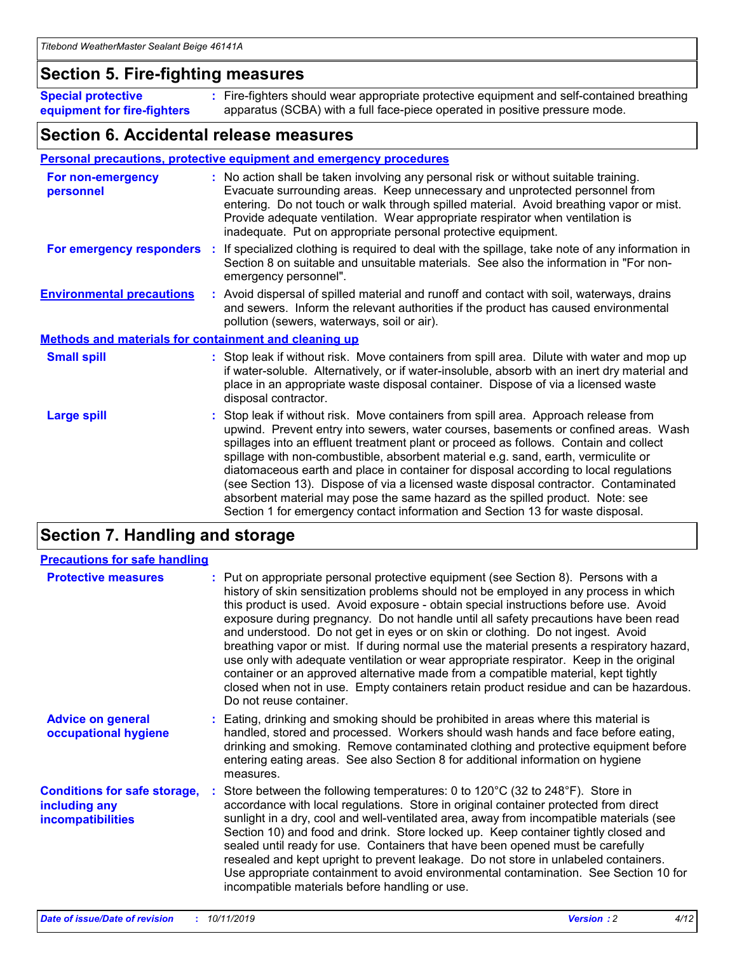### **Section 5. Fire-fighting measures**

**Special protective equipment for fire-fighters** Fire-fighters should wear appropriate protective equipment and self-contained breathing **:** apparatus (SCBA) with a full face-piece operated in positive pressure mode.

### **Section 6. Accidental release measures**

#### **Personal precautions, protective equipment and emergency procedures**

| For non-emergency<br>personnel                               | : No action shall be taken involving any personal risk or without suitable training.<br>Evacuate surrounding areas. Keep unnecessary and unprotected personnel from<br>entering. Do not touch or walk through spilled material. Avoid breathing vapor or mist.<br>Provide adequate ventilation. Wear appropriate respirator when ventilation is<br>inadequate. Put on appropriate personal protective equipment.                                                                                                                                                                                                                                                                                             |
|--------------------------------------------------------------|--------------------------------------------------------------------------------------------------------------------------------------------------------------------------------------------------------------------------------------------------------------------------------------------------------------------------------------------------------------------------------------------------------------------------------------------------------------------------------------------------------------------------------------------------------------------------------------------------------------------------------------------------------------------------------------------------------------|
|                                                              | For emergency responders : If specialized clothing is required to deal with the spillage, take note of any information in<br>Section 8 on suitable and unsuitable materials. See also the information in "For non-<br>emergency personnel".                                                                                                                                                                                                                                                                                                                                                                                                                                                                  |
| <b>Environmental precautions</b>                             | : Avoid dispersal of spilled material and runoff and contact with soil, waterways, drains<br>and sewers. Inform the relevant authorities if the product has caused environmental<br>pollution (sewers, waterways, soil or air).                                                                                                                                                                                                                                                                                                                                                                                                                                                                              |
| <b>Methods and materials for containment and cleaning up</b> |                                                                                                                                                                                                                                                                                                                                                                                                                                                                                                                                                                                                                                                                                                              |
| <b>Small spill</b>                                           | : Stop leak if without risk. Move containers from spill area. Dilute with water and mop up<br>if water-soluble. Alternatively, or if water-insoluble, absorb with an inert dry material and<br>place in an appropriate waste disposal container. Dispose of via a licensed waste<br>disposal contractor.                                                                                                                                                                                                                                                                                                                                                                                                     |
| <b>Large spill</b>                                           | : Stop leak if without risk. Move containers from spill area. Approach release from<br>upwind. Prevent entry into sewers, water courses, basements or confined areas. Wash<br>spillages into an effluent treatment plant or proceed as follows. Contain and collect<br>spillage with non-combustible, absorbent material e.g. sand, earth, vermiculite or<br>diatomaceous earth and place in container for disposal according to local regulations<br>(see Section 13). Dispose of via a licensed waste disposal contractor. Contaminated<br>absorbent material may pose the same hazard as the spilled product. Note: see<br>Section 1 for emergency contact information and Section 13 for waste disposal. |

### **Section 7. Handling and storage**

| <b>Precautions for safe handling</b>                                             |                                                                                                                                                                                                                                                                                                                                                                                                                                                                                                                                                                                                                                                                                                                                                                                                                                                  |
|----------------------------------------------------------------------------------|--------------------------------------------------------------------------------------------------------------------------------------------------------------------------------------------------------------------------------------------------------------------------------------------------------------------------------------------------------------------------------------------------------------------------------------------------------------------------------------------------------------------------------------------------------------------------------------------------------------------------------------------------------------------------------------------------------------------------------------------------------------------------------------------------------------------------------------------------|
| <b>Protective measures</b>                                                       | : Put on appropriate personal protective equipment (see Section 8). Persons with a<br>history of skin sensitization problems should not be employed in any process in which<br>this product is used. Avoid exposure - obtain special instructions before use. Avoid<br>exposure during pregnancy. Do not handle until all safety precautions have been read<br>and understood. Do not get in eyes or on skin or clothing. Do not ingest. Avoid<br>breathing vapor or mist. If during normal use the material presents a respiratory hazard,<br>use only with adequate ventilation or wear appropriate respirator. Keep in the original<br>container or an approved alternative made from a compatible material, kept tightly<br>closed when not in use. Empty containers retain product residue and can be hazardous.<br>Do not reuse container. |
| <b>Advice on general</b><br>occupational hygiene                                 | : Eating, drinking and smoking should be prohibited in areas where this material is<br>handled, stored and processed. Workers should wash hands and face before eating,<br>drinking and smoking. Remove contaminated clothing and protective equipment before<br>entering eating areas. See also Section 8 for additional information on hygiene<br>measures.                                                                                                                                                                                                                                                                                                                                                                                                                                                                                    |
| <b>Conditions for safe storage,</b><br>including any<br><b>incompatibilities</b> | : Store between the following temperatures: 0 to 120 $\degree$ C (32 to 248 $\degree$ F). Store in<br>accordance with local regulations. Store in original container protected from direct<br>sunlight in a dry, cool and well-ventilated area, away from incompatible materials (see<br>Section 10) and food and drink. Store locked up. Keep container tightly closed and<br>sealed until ready for use. Containers that have been opened must be carefully<br>resealed and kept upright to prevent leakage. Do not store in unlabeled containers.<br>Use appropriate containment to avoid environmental contamination. See Section 10 for<br>incompatible materials before handling or use.                                                                                                                                                   |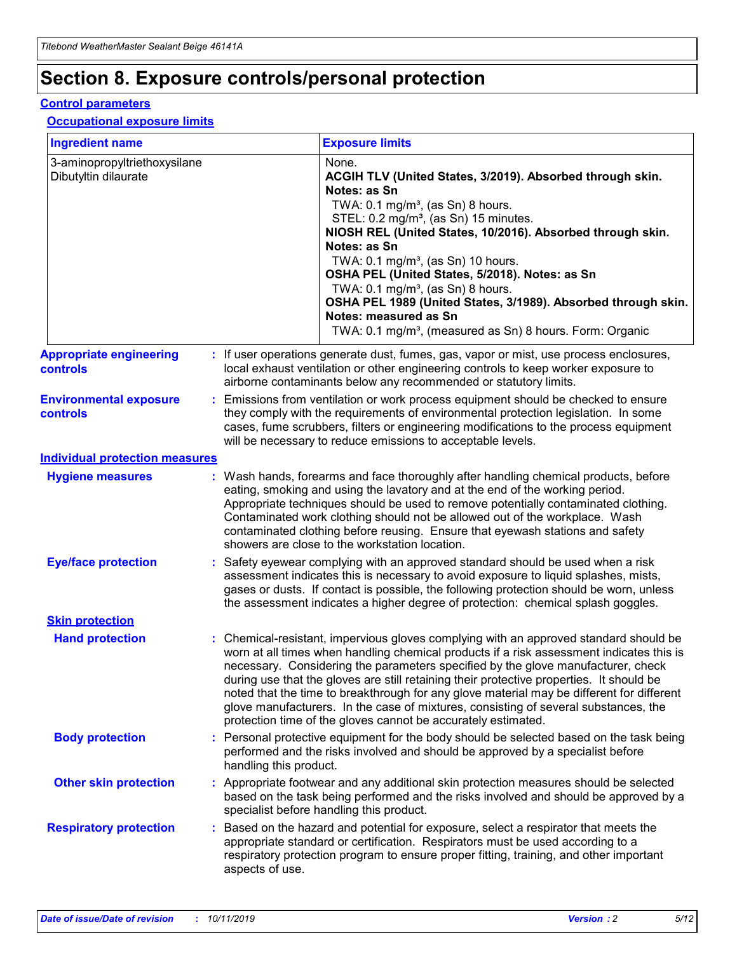## **Section 8. Exposure controls/personal protection**

#### **Control parameters**

#### **Occupational exposure limits**

| <b>Ingredient name</b>                               |    |                                          | <b>Exposure limits</b>                                                                                                                                                                                                                                                                                                                                                                                                                                                                                                                                                                                                 |
|------------------------------------------------------|----|------------------------------------------|------------------------------------------------------------------------------------------------------------------------------------------------------------------------------------------------------------------------------------------------------------------------------------------------------------------------------------------------------------------------------------------------------------------------------------------------------------------------------------------------------------------------------------------------------------------------------------------------------------------------|
| 3-aminopropyltriethoxysilane<br>Dibutyltin dilaurate |    |                                          | None.<br>ACGIH TLV (United States, 3/2019). Absorbed through skin.<br>Notes: as Sn<br>TWA: 0.1 mg/m <sup>3</sup> , (as Sn) 8 hours.<br>STEL: 0.2 mg/m <sup>3</sup> , (as Sn) 15 minutes.<br>NIOSH REL (United States, 10/2016). Absorbed through skin.<br>Notes: as Sn<br>TWA: 0.1 mg/m <sup>3</sup> , (as Sn) 10 hours.<br>OSHA PEL (United States, 5/2018). Notes: as Sn<br>TWA: $0.1 \text{ mg/m}^3$ , (as Sn) 8 hours.<br>OSHA PEL 1989 (United States, 3/1989). Absorbed through skin.<br>Notes: measured as Sn<br>TWA: 0.1 mg/m <sup>3</sup> , (measured as Sn) 8 hours. Form: Organic                           |
| <b>Appropriate engineering</b><br>controls           |    |                                          | : If user operations generate dust, fumes, gas, vapor or mist, use process enclosures,<br>local exhaust ventilation or other engineering controls to keep worker exposure to<br>airborne contaminants below any recommended or statutory limits.                                                                                                                                                                                                                                                                                                                                                                       |
| <b>Environmental exposure</b><br><b>controls</b>     |    |                                          | Emissions from ventilation or work process equipment should be checked to ensure<br>they comply with the requirements of environmental protection legislation. In some<br>cases, fume scrubbers, filters or engineering modifications to the process equipment<br>will be necessary to reduce emissions to acceptable levels.                                                                                                                                                                                                                                                                                          |
| <b>Individual protection measures</b>                |    |                                          |                                                                                                                                                                                                                                                                                                                                                                                                                                                                                                                                                                                                                        |
| <b>Hygiene measures</b>                              |    |                                          | : Wash hands, forearms and face thoroughly after handling chemical products, before<br>eating, smoking and using the lavatory and at the end of the working period.<br>Appropriate techniques should be used to remove potentially contaminated clothing.<br>Contaminated work clothing should not be allowed out of the workplace. Wash<br>contaminated clothing before reusing. Ensure that eyewash stations and safety<br>showers are close to the workstation location.                                                                                                                                            |
| <b>Eye/face protection</b>                           |    |                                          | : Safety eyewear complying with an approved standard should be used when a risk<br>assessment indicates this is necessary to avoid exposure to liquid splashes, mists,<br>gases or dusts. If contact is possible, the following protection should be worn, unless<br>the assessment indicates a higher degree of protection: chemical splash goggles.                                                                                                                                                                                                                                                                  |
| <b>Skin protection</b>                               |    |                                          |                                                                                                                                                                                                                                                                                                                                                                                                                                                                                                                                                                                                                        |
| <b>Hand protection</b>                               |    |                                          | : Chemical-resistant, impervious gloves complying with an approved standard should be<br>worn at all times when handling chemical products if a risk assessment indicates this is<br>necessary. Considering the parameters specified by the glove manufacturer, check<br>during use that the gloves are still retaining their protective properties. It should be<br>noted that the time to breakthrough for any glove material may be different for different<br>glove manufacturers. In the case of mixtures, consisting of several substances, the<br>protection time of the gloves cannot be accurately estimated. |
| <b>Body protection</b>                               |    | handling this product.                   | Personal protective equipment for the body should be selected based on the task being<br>performed and the risks involved and should be approved by a specialist before                                                                                                                                                                                                                                                                                                                                                                                                                                                |
| <b>Other skin protection</b>                         |    | specialist before handling this product. | : Appropriate footwear and any additional skin protection measures should be selected<br>based on the task being performed and the risks involved and should be approved by a                                                                                                                                                                                                                                                                                                                                                                                                                                          |
| <b>Respiratory protection</b>                        | ÷. | aspects of use.                          | Based on the hazard and potential for exposure, select a respirator that meets the<br>appropriate standard or certification. Respirators must be used according to a<br>respiratory protection program to ensure proper fitting, training, and other important                                                                                                                                                                                                                                                                                                                                                         |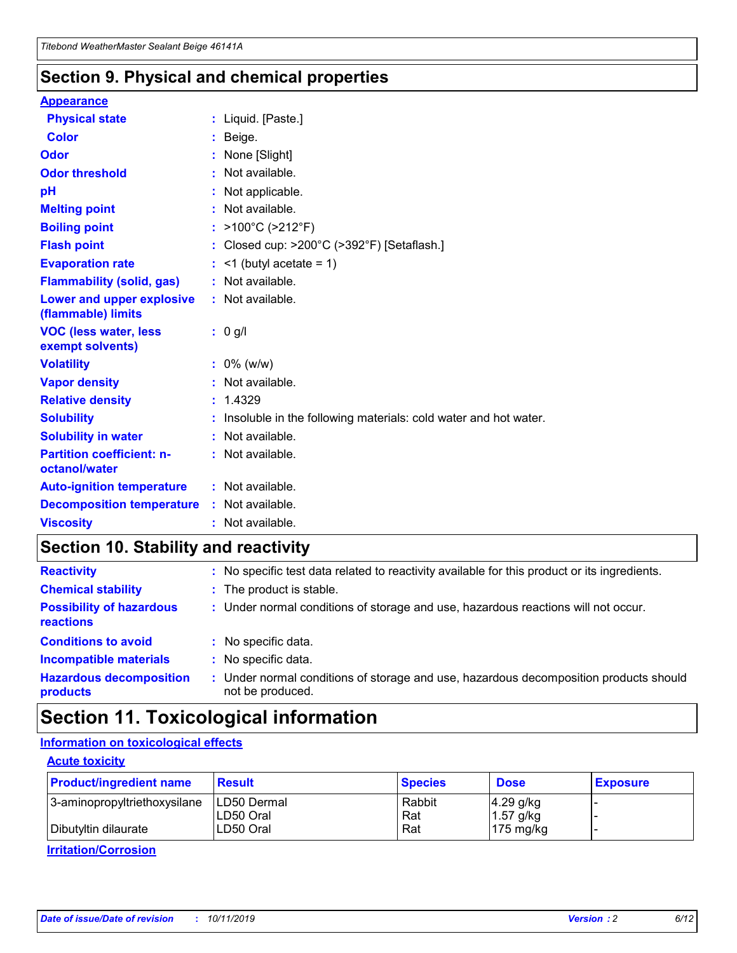### **Section 9. Physical and chemical properties**

#### **Appearance**

| <b>Physical state</b>                             | : Liquid. [Paste.]                                              |
|---------------------------------------------------|-----------------------------------------------------------------|
| <b>Color</b>                                      | Beige.                                                          |
| Odor                                              | None [Slight]                                                   |
| <b>Odor threshold</b>                             | $:$ Not available.                                              |
| рH                                                | : Not applicable.                                               |
| <b>Melting point</b>                              | : Not available.                                                |
| <b>Boiling point</b>                              | : $>100^{\circ}$ C ( $>212^{\circ}$ F)                          |
| <b>Flash point</b>                                | : Closed cup: >200°C (>392°F) [Setaflash.]                      |
| <b>Evaporation rate</b>                           | $:$ <1 (butyl acetate = 1)                                      |
| <b>Flammability (solid, gas)</b>                  | : Not available.                                                |
| Lower and upper explosive<br>(flammable) limits   | : Not available.                                                |
| <b>VOC (less water, less</b><br>exempt solvents)  | : 0 g/l                                                         |
| <b>Volatility</b>                                 | $: 0\%$ (w/w)                                                   |
| <b>Vapor density</b>                              | : Not available.                                                |
| <b>Relative density</b>                           | : 1.4329                                                        |
| <b>Solubility</b>                                 | Insoluble in the following materials: cold water and hot water. |
| <b>Solubility in water</b>                        |                                                                 |
|                                                   | $:$ Not available.                                              |
| <b>Partition coefficient: n-</b><br>octanol/water | $:$ Not available.                                              |
| <b>Auto-ignition temperature</b>                  | : Not available.                                                |
| <b>Decomposition temperature</b>                  | : Not available.                                                |

### **Section 10. Stability and reactivity**

| <b>Reactivity</b>                            |    | : No specific test data related to reactivity available for this product or its ingredients.            |
|----------------------------------------------|----|---------------------------------------------------------------------------------------------------------|
| <b>Chemical stability</b>                    |    | : The product is stable.                                                                                |
| <b>Possibility of hazardous</b><br>reactions |    | : Under normal conditions of storage and use, hazardous reactions will not occur.                       |
| <b>Conditions to avoid</b>                   |    | : No specific data.                                                                                     |
| <b>Incompatible materials</b>                | ٠. | No specific data.                                                                                       |
| <b>Hazardous decomposition</b><br>products   | ÷. | Under normal conditions of storage and use, hazardous decomposition products should<br>not be produced. |

### **Section 11. Toxicological information**

### **Information on toxicological effects**

#### **Acute toxicity**

| <b>Product/ingredient name</b> | <b>Result</b>           | <b>Species</b> | <b>Dose</b>                | <b>Exposure</b> |
|--------------------------------|-------------------------|----------------|----------------------------|-----------------|
| 3-aminopropyltriethoxysilane   | <b>ILD50 Dermal</b>     | Rabbit         | 4.29 g/kg                  |                 |
| Dibutyltin dilaurate           | ILD50 Oral<br>LD50 Oral | Rat<br>Rat     | $1.57$ g/kg<br>175 $mg/kg$ |                 |
|                                |                         |                |                            |                 |

**Irritation/Corrosion**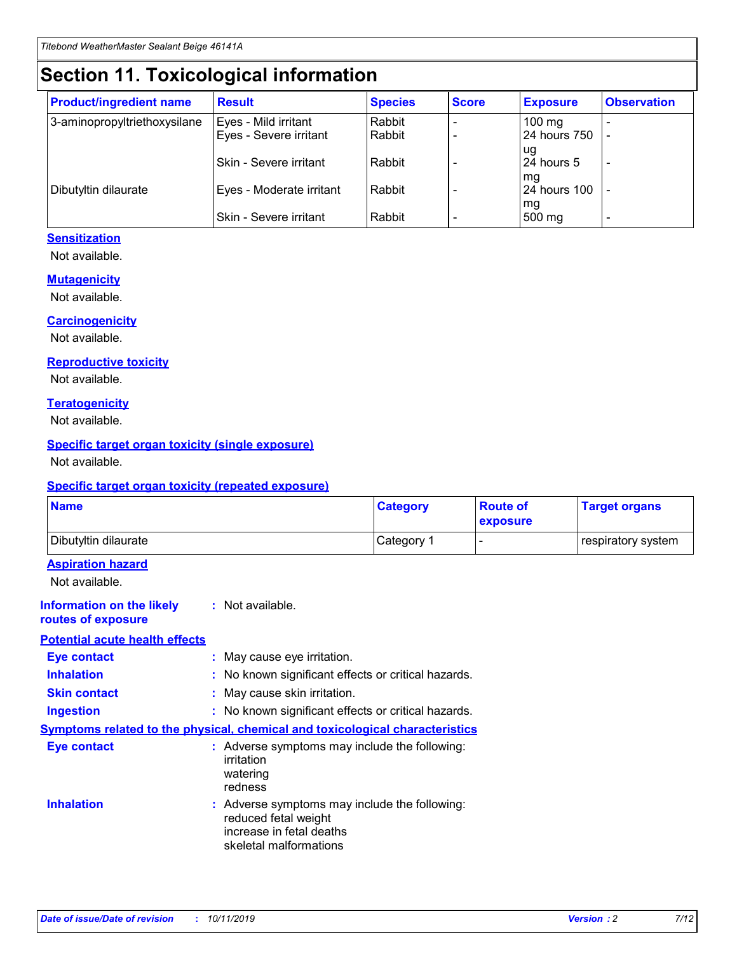## **Section 11. Toxicological information**

| <b>Product/ingredient name</b> | <b>Result</b>            | <b>Species</b> | <b>Score</b> | <b>Exposure</b>     | <b>Observation</b> |
|--------------------------------|--------------------------|----------------|--------------|---------------------|--------------------|
| 3-aminopropyltriethoxysilane   | Eyes - Mild irritant     | Rabbit         |              | $100 \text{ mg}$    |                    |
|                                | Eyes - Severe irritant   | Rabbit         |              | 24 hours 750        |                    |
|                                |                          |                |              | ug                  |                    |
|                                | Skin - Severe irritant   | Rabbit         |              | 24 hours 5          |                    |
|                                |                          |                |              | mq                  |                    |
| Dibutyltin dilaurate           | Eyes - Moderate irritant | Rabbit         |              | <b>24 hours 100</b> |                    |
|                                | Skin - Severe irritant   | Rabbit         |              | mg<br>500 mg        |                    |
|                                |                          |                |              |                     |                    |

### **Sensitization**

Not available.

#### **Mutagenicity**

Not available.

#### **Carcinogenicity**

Not available.

#### **Reproductive toxicity**

Not available.

#### **Teratogenicity**

Not available.

#### **Specific target organ toxicity (single exposure)**

Not available.

#### **Specific target organ toxicity (repeated exposure)**

| <b>Name</b>                                                                  |                                                                            | <b>Category</b>                                     | <b>Route of</b><br>exposure | <b>Target organs</b> |
|------------------------------------------------------------------------------|----------------------------------------------------------------------------|-----------------------------------------------------|-----------------------------|----------------------|
| Dibutyltin dilaurate                                                         |                                                                            | Category 1                                          | -                           | respiratory system   |
| <b>Aspiration hazard</b><br>Not available.                                   |                                                                            |                                                     |                             |                      |
| <b>Information on the likely</b><br>routes of exposure                       | : Not available.                                                           |                                                     |                             |                      |
| <b>Potential acute health effects</b>                                        |                                                                            |                                                     |                             |                      |
| <b>Eye contact</b>                                                           | : May cause eye irritation.                                                |                                                     |                             |                      |
| <b>Inhalation</b>                                                            |                                                                            | : No known significant effects or critical hazards. |                             |                      |
| <b>Skin contact</b>                                                          | : May cause skin irritation.                                               |                                                     |                             |                      |
| <b>Ingestion</b>                                                             |                                                                            | : No known significant effects or critical hazards. |                             |                      |
| Symptoms related to the physical, chemical and toxicological characteristics |                                                                            |                                                     |                             |                      |
| <b>Eye contact</b>                                                           | irritation<br>watering<br>redness                                          | : Adverse symptoms may include the following:       |                             |                      |
| <b>Inhalation</b>                                                            | reduced fetal weight<br>increase in fetal deaths<br>skeletal malformations | : Adverse symptoms may include the following:       |                             |                      |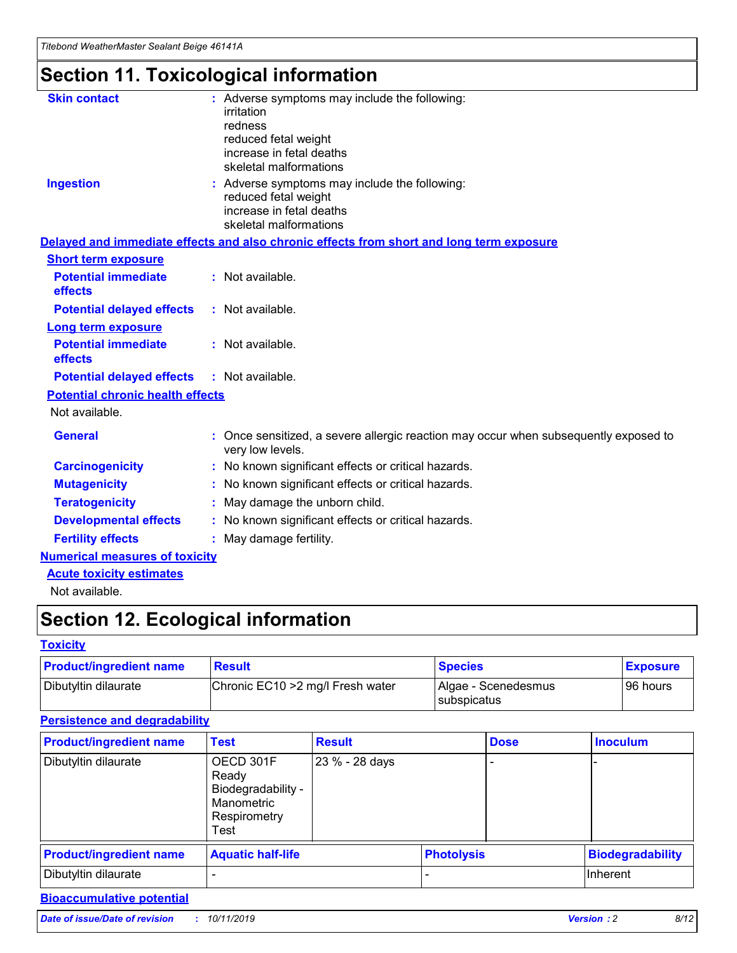## **Section 11. Toxicological information**

| <b>Skin contact</b>                     | : Adverse symptoms may include the following:                                                            |
|-----------------------------------------|----------------------------------------------------------------------------------------------------------|
|                                         | irritation                                                                                               |
|                                         | redness                                                                                                  |
|                                         | reduced fetal weight                                                                                     |
|                                         | increase in fetal deaths                                                                                 |
|                                         | skeletal malformations                                                                                   |
| <b>Ingestion</b>                        | : Adverse symptoms may include the following:                                                            |
|                                         | reduced fetal weight                                                                                     |
|                                         | increase in fetal deaths                                                                                 |
|                                         | skeletal malformations                                                                                   |
|                                         | Delayed and immediate effects and also chronic effects from short and long term exposure                 |
| <b>Short term exposure</b>              |                                                                                                          |
| <b>Potential immediate</b>              | : Not available.                                                                                         |
| effects                                 |                                                                                                          |
| <b>Potential delayed effects</b>        | : Not available.                                                                                         |
| Long term exposure                      |                                                                                                          |
| <b>Potential immediate</b>              | : Not available.                                                                                         |
| effects                                 |                                                                                                          |
| <b>Potential delayed effects</b>        | : Not available.                                                                                         |
| <b>Potential chronic health effects</b> |                                                                                                          |
| Not available.                          |                                                                                                          |
| <b>General</b>                          | : Once sensitized, a severe allergic reaction may occur when subsequently exposed to<br>very low levels. |
| <b>Carcinogenicity</b>                  | : No known significant effects or critical hazards.                                                      |
| <b>Mutagenicity</b>                     | : No known significant effects or critical hazards.                                                      |
| <b>Teratogenicity</b>                   | May damage the unborn child.                                                                             |
| <b>Developmental effects</b>            | : No known significant effects or critical hazards.                                                      |
| <b>Fertility effects</b>                | May damage fertility.                                                                                    |
| <b>Numerical measures of toxicity</b>   |                                                                                                          |
| <b>Acute toxicity estimates</b>         |                                                                                                          |
| الملحلة والمستحيط والمسالم              |                                                                                                          |

Not available.

## **Section 12. Ecological information**

#### **Toxicity**

| <b>Product/ingredient name</b> | <b>Result</b>                     | <b>Species</b>                       | <b>Exposure</b> |
|--------------------------------|-----------------------------------|--------------------------------------|-----------------|
| Dibutyltin dilaurate           | Chronic EC10 > 2 mg/l Fresh water | Algae - Scenedesmus<br>I subspicatus | l 96 hours i    |

### **Persistence and degradability**

| <b>Product/ingredient name</b> | <b>Test</b>                                                                    | <b>Result</b>  |                   | <b>Dose</b> | <b>Inoculum</b>         |
|--------------------------------|--------------------------------------------------------------------------------|----------------|-------------------|-------------|-------------------------|
| Dibutyltin dilaurate           | OECD 301F<br>Ready<br>Biodegradability -<br>Manometric<br>Respirometry<br>Test | 23 % - 28 days |                   |             |                         |
| <b>Product/ingredient name</b> | <b>Aquatic half-life</b>                                                       |                | <b>Photolysis</b> |             | <b>Biodegradability</b> |
| Dibutyltin dilaurate           |                                                                                |                |                   |             | Inherent                |

### **Bioaccumulative potential**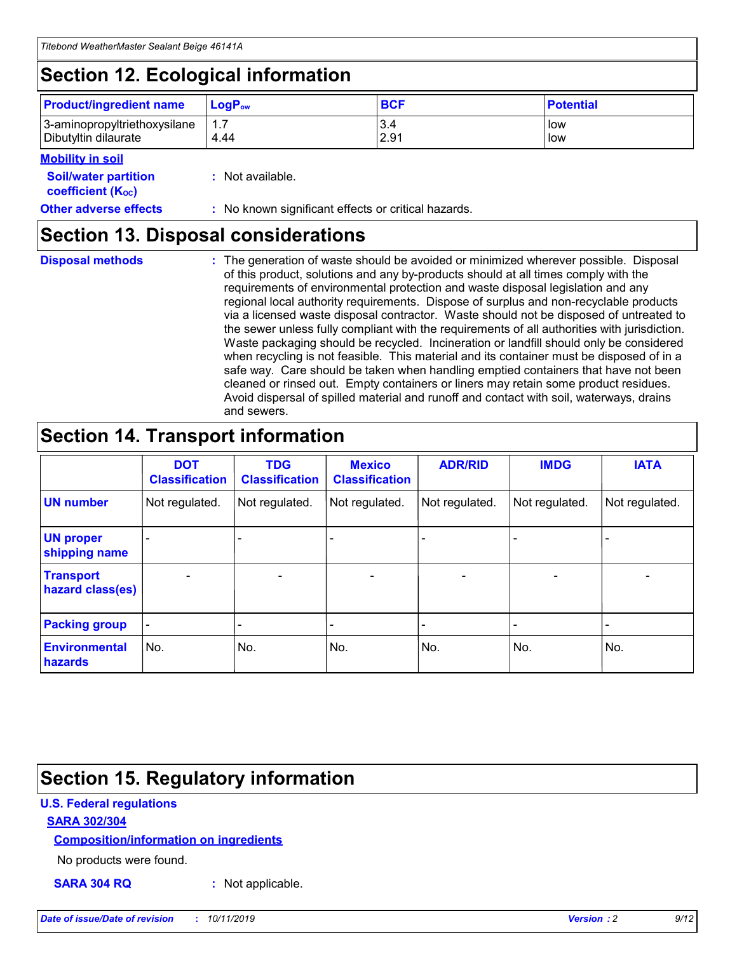## **Section 12. Ecological information**

| <b>Product/ingredient name</b> | $LoaPow$ | <b>BCF</b> | <b>Potential</b> |
|--------------------------------|----------|------------|------------------|
| 3-aminopropyltriethoxysilane   | 1.7      | 3.4        | low              |
| Dibutyltin dilaurate           | 4.44     | 2.91       | low              |

#### **Mobility in soil**

| <i></i>                                                       |                                                     |
|---------------------------------------------------------------|-----------------------------------------------------|
| <b>Soil/water partition</b><br>coefficient (K <sub>oc</sub> ) | : Not available.                                    |
| <b>Other adverse effects</b>                                  | : No known significant effects or critical hazards. |

### **Section 13. Disposal considerations**

**Disposal methods :**

The generation of waste should be avoided or minimized wherever possible. Disposal of this product, solutions and any by-products should at all times comply with the requirements of environmental protection and waste disposal legislation and any regional local authority requirements. Dispose of surplus and non-recyclable products via a licensed waste disposal contractor. Waste should not be disposed of untreated to the sewer unless fully compliant with the requirements of all authorities with jurisdiction. Waste packaging should be recycled. Incineration or landfill should only be considered when recycling is not feasible. This material and its container must be disposed of in a safe way. Care should be taken when handling emptied containers that have not been cleaned or rinsed out. Empty containers or liners may retain some product residues. Avoid dispersal of spilled material and runoff and contact with soil, waterways, drains and sewers.

## **Section 14. Transport information**

|                                      | <b>DOT</b><br><b>Classification</b> | <b>TDG</b><br><b>Classification</b> | <b>Mexico</b><br><b>Classification</b> | <b>ADR/RID</b>               | <b>IMDG</b>    | <b>IATA</b>              |
|--------------------------------------|-------------------------------------|-------------------------------------|----------------------------------------|------------------------------|----------------|--------------------------|
| <b>UN number</b>                     | Not regulated.                      | Not regulated.                      | Not regulated.                         | Not regulated.               | Not regulated. | Not regulated.           |
| <b>UN proper</b><br>shipping name    |                                     |                                     |                                        |                              |                |                          |
| <b>Transport</b><br>hazard class(es) | $\blacksquare$                      | $\overline{\phantom{0}}$            | $\overline{\phantom{a}}$               | $\qquad \qquad \blacksquare$ | $\blacksquare$ | $\overline{\phantom{0}}$ |
| <b>Packing group</b>                 | $\overline{\phantom{a}}$            | -                                   |                                        | -                            |                | -                        |
| <b>Environmental</b><br>hazards      | No.                                 | No.                                 | No.                                    | No.                          | No.            | No.                      |

## **Section 15. Regulatory information**

### **U.S. Federal regulations**

#### **SARA 302/304**

#### **Composition/information on ingredients**

No products were found.

**SARA 304 RQ :** Not applicable.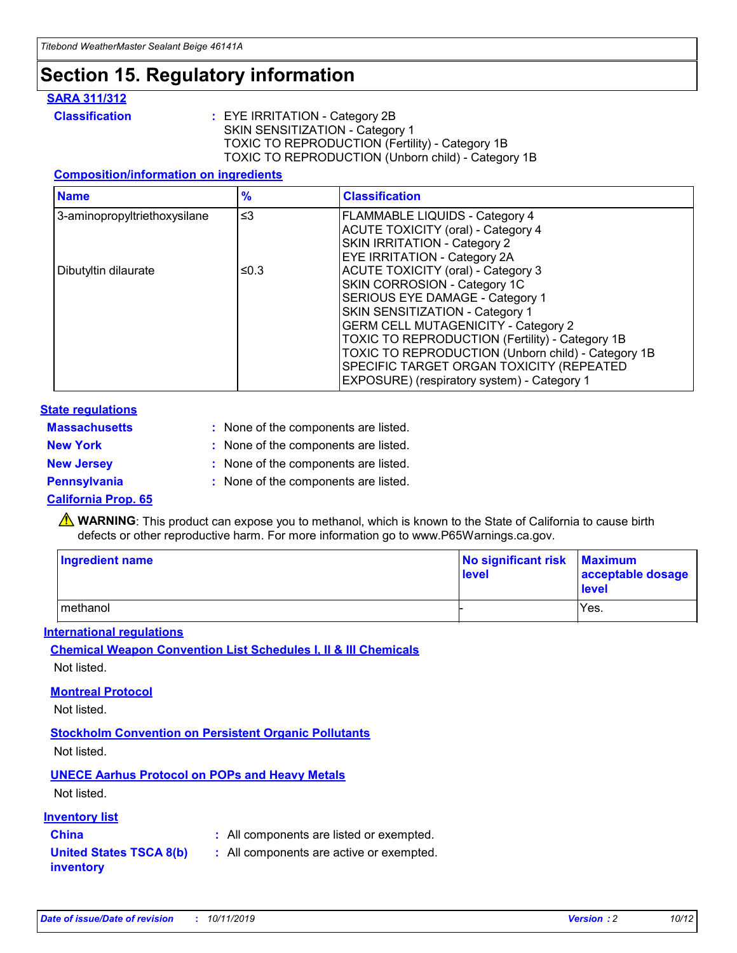## **Section 15. Regulatory information**

#### **SARA 311/312**

**Classification :** EYE IRRITATION - Category 2B SKIN SENSITIZATION - Category 1 TOXIC TO REPRODUCTION (Fertility) - Category 1B TOXIC TO REPRODUCTION (Unborn child) - Category 1B

#### **Composition/information on ingredients**

| <b>Name</b>                  | $\frac{9}{6}$ | <b>Classification</b>                                                                                            |
|------------------------------|---------------|------------------------------------------------------------------------------------------------------------------|
| 3-aminopropyltriethoxysilane | $\leq$ 3      | <b>FLAMMABLE LIQUIDS - Category 4</b><br><b>ACUTE TOXICITY (oral) - Category 4</b>                               |
|                              |               | SKIN IRRITATION - Category 2<br>EYE IRRITATION - Category 2A                                                     |
| Dibutyltin dilaurate         | ≤0.3          | ACUTE TOXICITY (oral) - Category 3<br>SKIN CORROSION - Category 1C                                               |
|                              |               | SERIOUS EYE DAMAGE - Category 1<br>SKIN SENSITIZATION - Category 1<br><b>GERM CELL MUTAGENICITY - Category 2</b> |
|                              |               | TOXIC TO REPRODUCTION (Fertility) - Category 1B<br>TOXIC TO REPRODUCTION (Unborn child) - Category 1B            |
|                              |               | SPECIFIC TARGET ORGAN TOXICITY (REPEATED<br>EXPOSURE) (respiratory system) - Category 1                          |

#### **State regulations**

| <b>Massachusetts</b> | : None of the components are listed. |
|----------------------|--------------------------------------|
| <b>New York</b>      | : None of the components are listed. |
| <b>New Jersey</b>    | : None of the components are listed. |
| <b>Pennsylvania</b>  | : None of the components are listed. |

#### **California Prop. 65**

**A** WARNING: This product can expose you to methanol, which is known to the State of California to cause birth defects or other reproductive harm. For more information go to www.P65Warnings.ca.gov.

| <b>Ingredient name</b> | No significant risk Maximum<br>level | acceptable dosage<br>level |
|------------------------|--------------------------------------|----------------------------|
| methanol               |                                      | Yes.                       |

#### **International regulations**

**Chemical Weapon Convention List Schedules I, II & III Chemicals** Not listed.

#### **Montreal Protocol**

Not listed.

#### **Stockholm Convention on Persistent Organic Pollutants**

Not listed.

### **UNECE Aarhus Protocol on POPs and Heavy Metals**

Not listed.

#### **Inventory list**

### **China :** All components are listed or exempted.

#### **United States TSCA 8(b) inventory :** All components are active or exempted.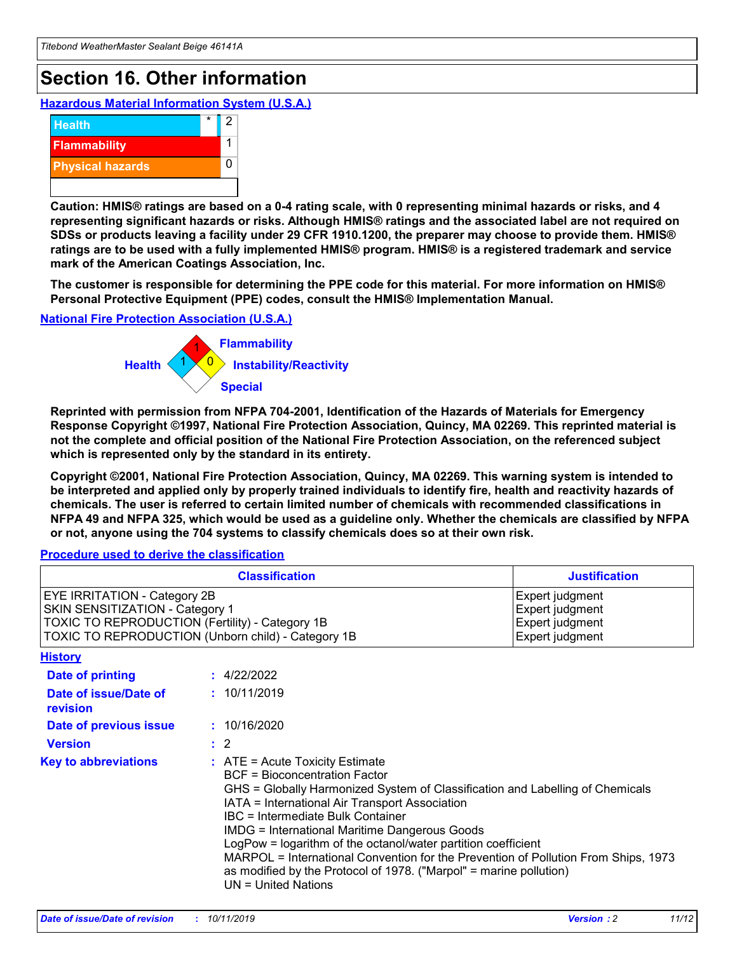## **Section 16. Other information**

**Hazardous Material Information System (U.S.A.)**



**Caution: HMIS® ratings are based on a 0-4 rating scale, with 0 representing minimal hazards or risks, and 4 representing significant hazards or risks. Although HMIS® ratings and the associated label are not required on SDSs or products leaving a facility under 29 CFR 1910.1200, the preparer may choose to provide them. HMIS® ratings are to be used with a fully implemented HMIS® program. HMIS® is a registered trademark and service mark of the American Coatings Association, Inc.**

**The customer is responsible for determining the PPE code for this material. For more information on HMIS® Personal Protective Equipment (PPE) codes, consult the HMIS® Implementation Manual.**

#### **National Fire Protection Association (U.S.A.)**



**Reprinted with permission from NFPA 704-2001, Identification of the Hazards of Materials for Emergency Response Copyright ©1997, National Fire Protection Association, Quincy, MA 02269. This reprinted material is not the complete and official position of the National Fire Protection Association, on the referenced subject which is represented only by the standard in its entirety.**

**Copyright ©2001, National Fire Protection Association, Quincy, MA 02269. This warning system is intended to be interpreted and applied only by properly trained individuals to identify fire, health and reactivity hazards of chemicals. The user is referred to certain limited number of chemicals with recommended classifications in NFPA 49 and NFPA 325, which would be used as a guideline only. Whether the chemicals are classified by NFPA or not, anyone using the 704 systems to classify chemicals does so at their own risk.**

**Procedure used to derive the classification**

| <b>Classification</b>                                                                                                                                                    |                                                                                                                                                  | <b>Justification</b>                                                                                                                                                                                                                                                                                                                                                                                                 |  |
|--------------------------------------------------------------------------------------------------------------------------------------------------------------------------|--------------------------------------------------------------------------------------------------------------------------------------------------|----------------------------------------------------------------------------------------------------------------------------------------------------------------------------------------------------------------------------------------------------------------------------------------------------------------------------------------------------------------------------------------------------------------------|--|
| EYE IRRITATION - Category 2B<br>SKIN SENSITIZATION - Category 1<br>TOXIC TO REPRODUCTION (Fertility) - Category 1B<br>TOXIC TO REPRODUCTION (Unborn child) - Category 1B |                                                                                                                                                  | Expert judgment<br>Expert judgment<br>Expert judgment<br>Expert judgment                                                                                                                                                                                                                                                                                                                                             |  |
| <b>History</b>                                                                                                                                                           |                                                                                                                                                  |                                                                                                                                                                                                                                                                                                                                                                                                                      |  |
| Date of printing                                                                                                                                                         | : 4/22/2022                                                                                                                                      |                                                                                                                                                                                                                                                                                                                                                                                                                      |  |
| Date of issue/Date of<br>revision                                                                                                                                        | : 10/11/2019                                                                                                                                     |                                                                                                                                                                                                                                                                                                                                                                                                                      |  |
| Date of previous issue                                                                                                                                                   | : 10/16/2020                                                                                                                                     |                                                                                                                                                                                                                                                                                                                                                                                                                      |  |
| <b>Version</b>                                                                                                                                                           | $\therefore$ 2                                                                                                                                   |                                                                                                                                                                                                                                                                                                                                                                                                                      |  |
| <b>Key to abbreviations</b>                                                                                                                                              | $\therefore$ ATE = Acute Toxicity Estimate<br><b>BCF</b> = Bioconcentration Factor<br>IBC = Intermediate Bulk Container<br>$UN = United Nations$ | GHS = Globally Harmonized System of Classification and Labelling of Chemicals<br>IATA = International Air Transport Association<br><b>IMDG = International Maritime Dangerous Goods</b><br>LogPow = logarithm of the octanol/water partition coefficient<br>MARPOL = International Convention for the Prevention of Pollution From Ships, 1973<br>as modified by the Protocol of 1978. ("Marpol" = marine pollution) |  |